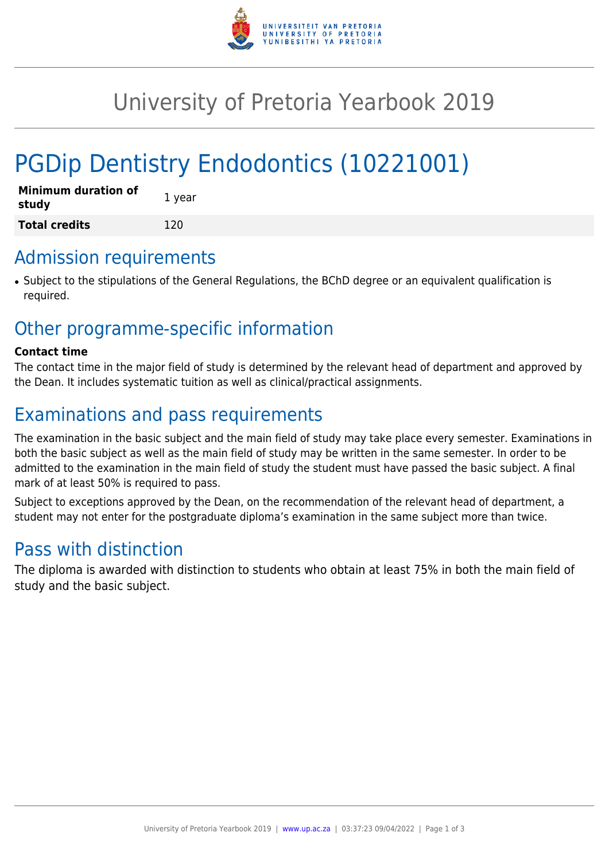

# University of Pretoria Yearbook 2019

# PGDip Dentistry Endodontics (10221001)

| <b>Minimum duration of</b><br>study | 1 year |
|-------------------------------------|--------|
| <b>Total credits</b>                | 120    |

## Admission requirements

● Subject to the stipulations of the General Regulations, the BChD degree or an equivalent qualification is required.

## Other programme-specific information

#### **Contact time**

The contact time in the major field of study is determined by the relevant head of department and approved by the Dean. It includes systematic tuition as well as clinical/practical assignments.

# Examinations and pass requirements

The examination in the basic subject and the main field of study may take place every semester. Examinations in both the basic subject as well as the main field of study may be written in the same semester. In order to be admitted to the examination in the main field of study the student must have passed the basic subject. A final mark of at least 50% is required to pass.

Subject to exceptions approved by the Dean, on the recommendation of the relevant head of department, a student may not enter for the postgraduate diploma's examination in the same subject more than twice.

# Pass with distinction

The diploma is awarded with distinction to students who obtain at least 75% in both the main field of study and the basic subject.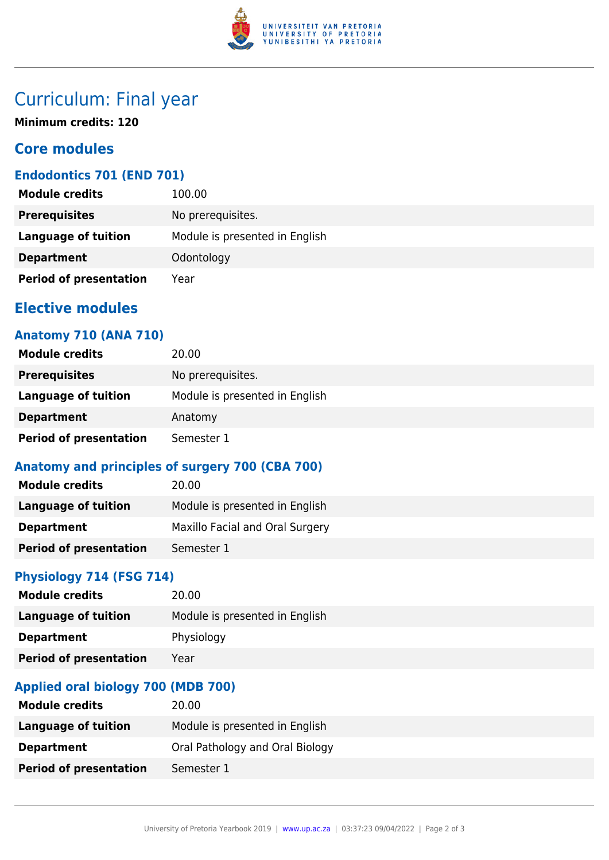

# Curriculum: Final year

**Minimum credits: 120**

## **Core modules**

## **Endodontics 701 (END 701)**

| <b>Module credits</b>         | 100.00                         |
|-------------------------------|--------------------------------|
| <b>Prerequisites</b>          | No prerequisites.              |
| Language of tuition           | Module is presented in English |
| <b>Department</b>             | Odontology                     |
| <b>Period of presentation</b> | Year                           |

## **Elective modules**

### **Anatomy 710 (ANA 710)**

| <b>Module credits</b>         | 20.00                          |
|-------------------------------|--------------------------------|
| <b>Prerequisites</b>          | No prerequisites.              |
| <b>Language of tuition</b>    | Module is presented in English |
| <b>Department</b>             | Anatomy                        |
| <b>Period of presentation</b> | Semester 1                     |

## **Anatomy and principles of surgery 700 (CBA 700)**

| <b>Module credits</b>         | 20.00                           |
|-------------------------------|---------------------------------|
| Language of tuition           | Module is presented in English  |
| <b>Department</b>             | Maxillo Facial and Oral Surgery |
| <b>Period of presentation</b> | Semester 1                      |

## **Physiology 714 (FSG 714)**

| <b>Module credits</b>         | 20.00                          |
|-------------------------------|--------------------------------|
| Language of tuition           | Module is presented in English |
| <b>Department</b>             | Physiology                     |
| <b>Period of presentation</b> | Year                           |

## **Applied oral biology 700 (MDB 700)**